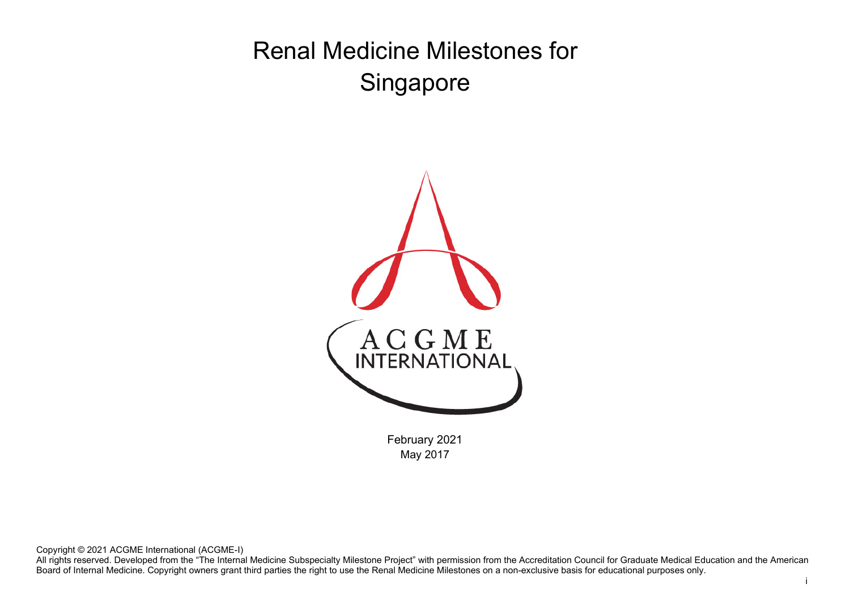Renal Medicine Milestones for Singapore



February 2021 May 2017

Copyright © 2021 ACGME International (ACGME-I)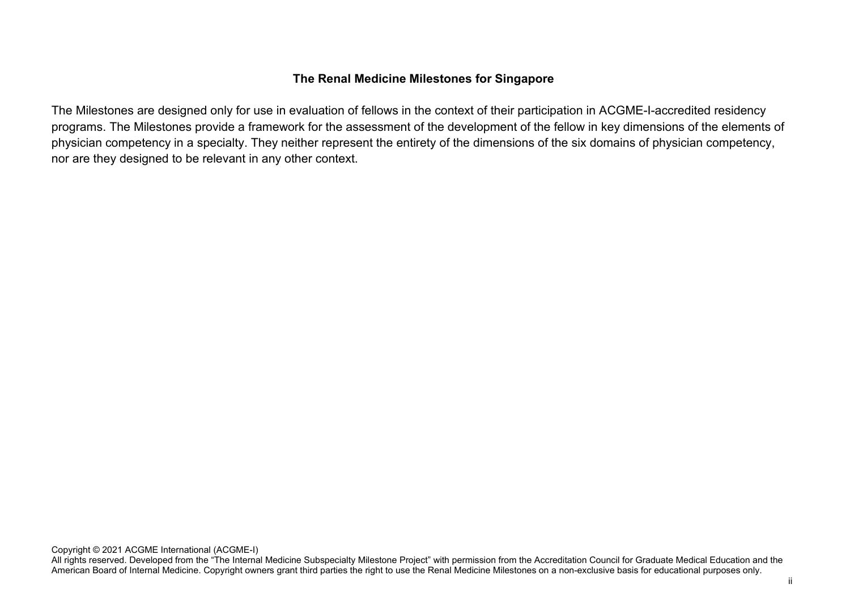### **The Renal Medicine Milestones for Singapore**

The Milestones are designed only for use in evaluation of fellows in the context of their participation in ACGME-I-accredited residency programs. The Milestones provide a framework for the assessment of the development of the fellow in key dimensions of the elements of physician competency in a specialty. They neither represent the entirety of the dimensions of the six domains of physician competency, nor are they designed to be relevant in any other context.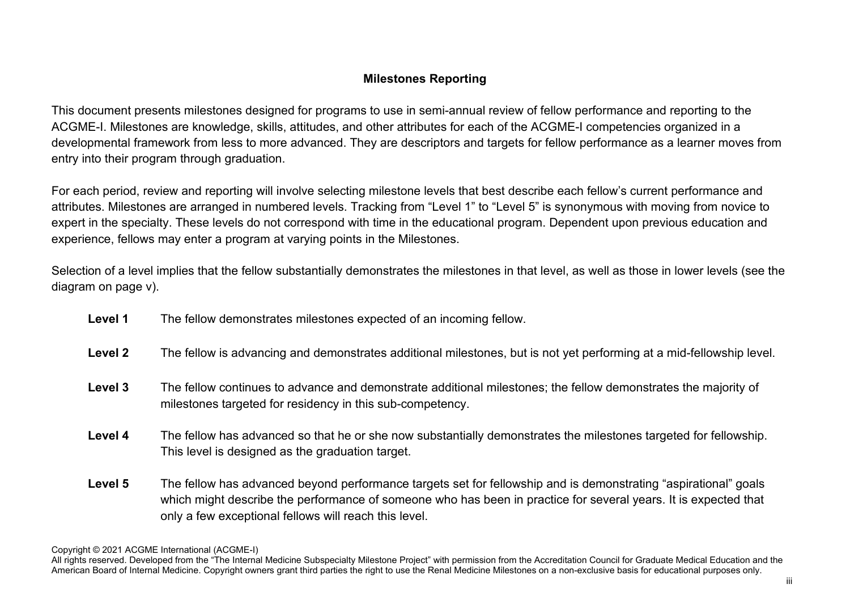# **Milestones Reporting**

This document presents milestones designed for programs to use in semi-annual review of fellow performance and reporting to the ACGME-I. Milestones are knowledge, skills, attitudes, and other attributes for each of the ACGME-I competencies organized in a developmental framework from less to more advanced. They are descriptors and targets for fellow performance as a learner moves from entry into their program through graduation.

For each period, review and reporting will involve selecting milestone levels that best describe each fellow's current performance and attributes. Milestones are arranged in numbered levels. Tracking from "Level 1" to "Level 5" is synonymous with moving from novice to expert in the specialty. These levels do not correspond with time in the educational program. Dependent upon previous education and experience, fellows may enter a program at varying points in the Milestones.

Selection of a level implies that the fellow substantially demonstrates the milestones in that level, as well as those in lower levels (see the diagram on page v).

- **Level 1** The fellow demonstrates milestones expected of an incoming fellow.
- **Level 2** The fellow is advancing and demonstrates additional milestones, but is not yet performing at a mid-fellowship level.
- **Level 3** The fellow continues to advance and demonstrate additional milestones; the fellow demonstrates the majority of milestones targeted for residency in this sub-competency.
- **Level 4** The fellow has advanced so that he or she now substantially demonstrates the milestones targeted for fellowship. This level is designed as the graduation target.
- Level 5 The fellow has advanced beyond performance targets set for fellowship and is demonstrating "aspirational" goals which might describe the performance of someone who has been in practice for several years. It is expected that only a few exceptional fellows will reach this level.

Copyright © 2021 ACGME International (ACGME-I)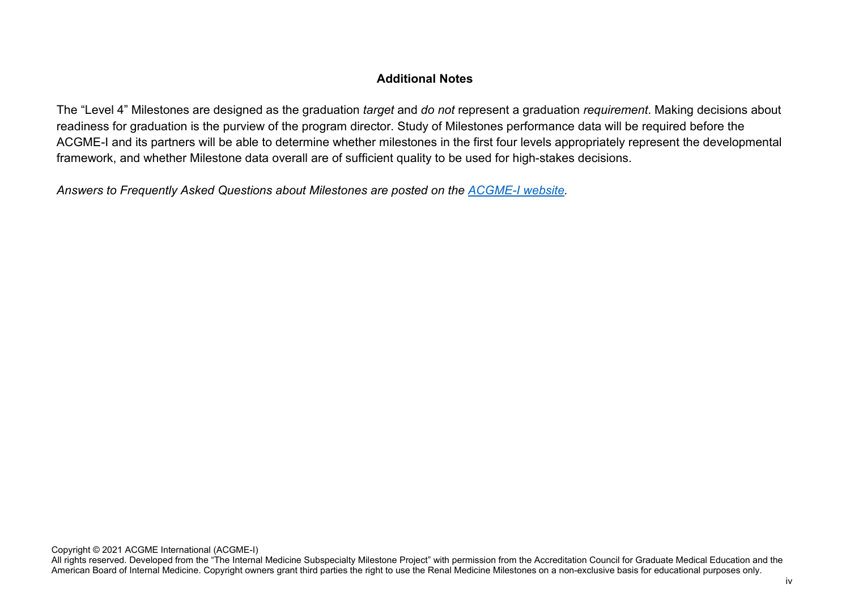## **Additional Notes**

The "Level 4" Milestones are designed as the graduation *target* and *do not* represent a graduation *requirement*. Making decisions about readiness for graduation is the purview of the program director. Study of Milestones performance data will be required before the ACGME-I and its partners will be able to determine whether milestones in the first four levels appropriately represent the developmental framework, and whether Milestone data overall are of sufficient quality to be used for high-stakes decisions.

*Answers to Frequently Asked Questions about Milestones are posted on the [ACGME-I website.](http://www.acgme-i.org/)*

Copyright © 2021 ACGME International (ACGME-I)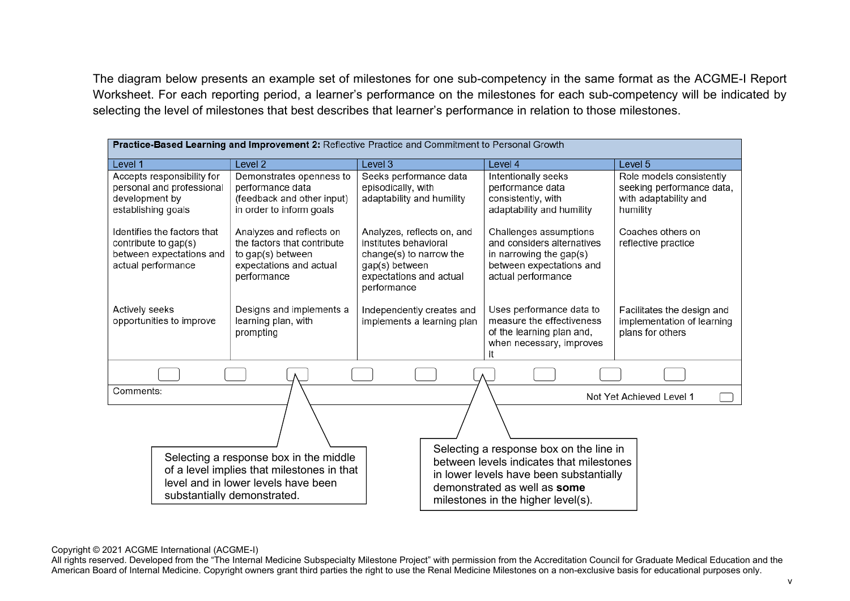The diagram below presents an example set of milestones for one sub-competency in the same format as the ACGME-I Report Worksheet. For each reporting period, a learner's performance on the milestones for each sub-competency will be indicated by selecting the level of milestones that best describes that learner's performance in relation to those milestones.

| Practice-Based Learning and Improvement 2: Reflective Practice and Commitment to Personal Growth      |                                                                                                                                                            |                                                                                                                                            |                                                                                                                                                                                                      |                                                                                            |  |  |  |
|-------------------------------------------------------------------------------------------------------|------------------------------------------------------------------------------------------------------------------------------------------------------------|--------------------------------------------------------------------------------------------------------------------------------------------|------------------------------------------------------------------------------------------------------------------------------------------------------------------------------------------------------|--------------------------------------------------------------------------------------------|--|--|--|
| Level 1                                                                                               | Level <sub>2</sub>                                                                                                                                         | Level 3                                                                                                                                    | Level 4                                                                                                                                                                                              | Level 5                                                                                    |  |  |  |
| Accepts responsibility for<br>personal and professional<br>development by<br>establishing goals       | Demonstrates openness to<br>performance data<br>(feedback and other input)<br>in order to inform goals                                                     | Seeks performance data<br>episodically, with<br>adaptability and humility                                                                  | Intentionally seeks<br>performance data<br>consistently, with<br>adaptability and humility                                                                                                           | Role models consistently<br>seeking performance data,<br>with adaptability and<br>humility |  |  |  |
| Identifies the factors that<br>contribute to gap(s)<br>between expectations and<br>actual performance | Analyzes and reflects on<br>the factors that contribute<br>to gap(s) between<br>expectations and actual<br>performance                                     | Analyzes, reflects on, and<br>institutes behavioral<br>change(s) to narrow the<br>gap(s) between<br>expectations and actual<br>performance | Challenges assumptions<br>and considers alternatives<br>in narrowing the gap(s)<br>between expectations and<br>actual performance                                                                    | Coaches others on<br>reflective practice                                                   |  |  |  |
| Actively seeks<br>opportunities to improve                                                            | Designs and implements a<br>learning plan, with<br>prompting                                                                                               | Independently creates and<br>implements a learning plan                                                                                    | Uses performance data to<br>measure the effectiveness<br>of the learning plan and,<br>when necessary, improves                                                                                       | Facilitates the design and<br>implementation of learning<br>plans for others               |  |  |  |
|                                                                                                       |                                                                                                                                                            |                                                                                                                                            |                                                                                                                                                                                                      |                                                                                            |  |  |  |
| Comments:                                                                                             |                                                                                                                                                            |                                                                                                                                            |                                                                                                                                                                                                      | Not Yet Achieved Level 1                                                                   |  |  |  |
|                                                                                                       | Selecting a response box in the middle<br>of a level implies that milestones in that<br>level and in lower levels have been<br>substantially demonstrated. |                                                                                                                                            | Selecting a response box on the line in<br>between levels indicates that milestones<br>in lower levels have been substantially<br>demonstrated as well as some<br>milestones in the higher level(s). |                                                                                            |  |  |  |

Copyright © 2021 ACGME International (ACGME-I)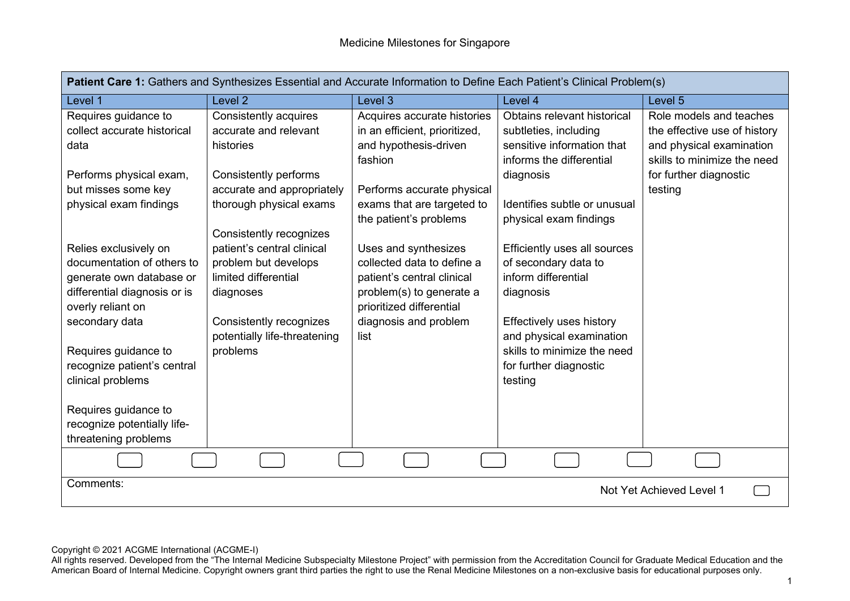| Patient Care 1: Gathers and Synthesizes Essential and Accurate Information to Define Each Patient's Clinical Problem(s) |                              |                               |                              |                              |  |  |  |
|-------------------------------------------------------------------------------------------------------------------------|------------------------------|-------------------------------|------------------------------|------------------------------|--|--|--|
| Level 1                                                                                                                 | Level <sub>2</sub>           | Level 3                       | Level 4                      | Level 5                      |  |  |  |
| Requires guidance to                                                                                                    | Consistently acquires        | Acquires accurate histories   | Obtains relevant historical  | Role models and teaches      |  |  |  |
| collect accurate historical                                                                                             | accurate and relevant        | in an efficient, prioritized, | subtleties, including        | the effective use of history |  |  |  |
| data                                                                                                                    | histories                    | and hypothesis-driven         | sensitive information that   | and physical examination     |  |  |  |
|                                                                                                                         |                              | fashion                       | informs the differential     | skills to minimize the need  |  |  |  |
| Performs physical exam,                                                                                                 | <b>Consistently performs</b> |                               | diagnosis                    | for further diagnostic       |  |  |  |
| but misses some key                                                                                                     | accurate and appropriately   | Performs accurate physical    |                              | testing                      |  |  |  |
| physical exam findings                                                                                                  | thorough physical exams      | exams that are targeted to    | Identifies subtle or unusual |                              |  |  |  |
|                                                                                                                         |                              | the patient's problems        | physical exam findings       |                              |  |  |  |
|                                                                                                                         | Consistently recognizes      |                               |                              |                              |  |  |  |
| Relies exclusively on                                                                                                   | patient's central clinical   | Uses and synthesizes          | Efficiently uses all sources |                              |  |  |  |
| documentation of others to                                                                                              | problem but develops         | collected data to define a    | of secondary data to         |                              |  |  |  |
| generate own database or                                                                                                | limited differential         | patient's central clinical    | inform differential          |                              |  |  |  |
| differential diagnosis or is                                                                                            | diagnoses                    | problem(s) to generate a      | diagnosis                    |                              |  |  |  |
| overly reliant on                                                                                                       |                              | prioritized differential      |                              |                              |  |  |  |
| secondary data                                                                                                          | Consistently recognizes      | diagnosis and problem         | Effectively uses history     |                              |  |  |  |
|                                                                                                                         | potentially life-threatening | list                          | and physical examination     |                              |  |  |  |
| Requires guidance to                                                                                                    | problems                     |                               | skills to minimize the need  |                              |  |  |  |
| recognize patient's central                                                                                             |                              |                               | for further diagnostic       |                              |  |  |  |
| clinical problems                                                                                                       |                              |                               | testing                      |                              |  |  |  |
|                                                                                                                         |                              |                               |                              |                              |  |  |  |
| Requires guidance to                                                                                                    |                              |                               |                              |                              |  |  |  |
| recognize potentially life-                                                                                             |                              |                               |                              |                              |  |  |  |
| threatening problems                                                                                                    |                              |                               |                              |                              |  |  |  |
|                                                                                                                         |                              |                               |                              |                              |  |  |  |
| Comments:                                                                                                               |                              |                               |                              | Not Yet Achieved Level 1     |  |  |  |
|                                                                                                                         |                              |                               |                              |                              |  |  |  |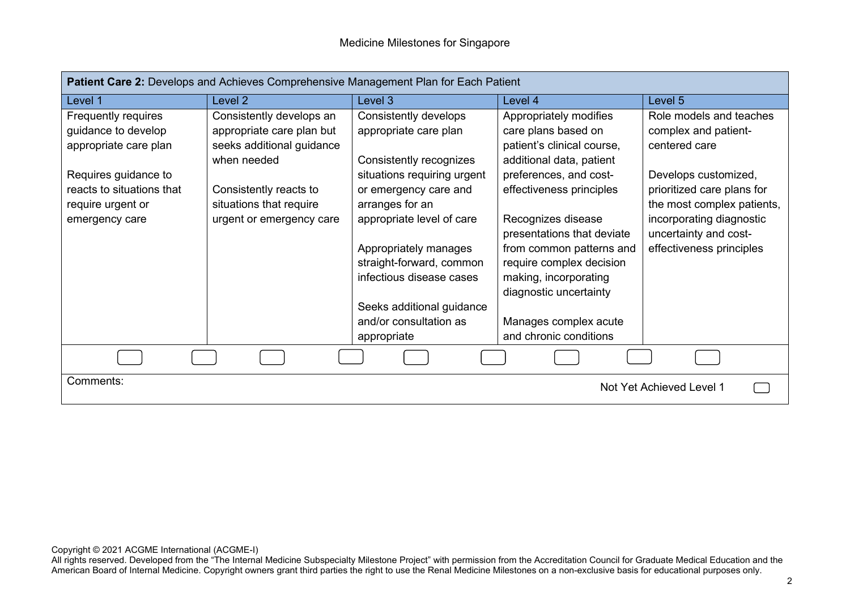| <b>Patient Care 2: Develops and Achieves Comprehensive Management Plan for Each Patient</b> |                           |                                                     |                            |                            |  |  |
|---------------------------------------------------------------------------------------------|---------------------------|-----------------------------------------------------|----------------------------|----------------------------|--|--|
| Level 1                                                                                     | Level 2                   | Level 3                                             | Level 4                    | Level 5                    |  |  |
| Frequently requires                                                                         | Consistently develops an  | Consistently develops                               | Appropriately modifies     | Role models and teaches    |  |  |
| guidance to develop                                                                         | appropriate care plan but | appropriate care plan                               | care plans based on        | complex and patient-       |  |  |
| appropriate care plan                                                                       | seeks additional guidance |                                                     | patient's clinical course, | centered care              |  |  |
|                                                                                             | when needed               | Consistently recognizes                             | additional data, patient   |                            |  |  |
| Requires guidance to                                                                        |                           | situations requiring urgent                         | preferences, and cost-     | Develops customized,       |  |  |
| reacts to situations that                                                                   | Consistently reacts to    | or emergency care and                               | effectiveness principles   | prioritized care plans for |  |  |
| require urgent or                                                                           | situations that require   | arranges for an                                     |                            | the most complex patients, |  |  |
| emergency care                                                                              | urgent or emergency care  | appropriate level of care                           | Recognizes disease         | incorporating diagnostic   |  |  |
|                                                                                             |                           |                                                     | presentations that deviate | uncertainty and cost-      |  |  |
|                                                                                             |                           | Appropriately manages                               | from common patterns and   | effectiveness principles   |  |  |
|                                                                                             |                           | straight-forward, common                            | require complex decision   |                            |  |  |
|                                                                                             |                           | infectious disease cases                            | making, incorporating      |                            |  |  |
|                                                                                             |                           |                                                     | diagnostic uncertainty     |                            |  |  |
|                                                                                             |                           | Seeks additional guidance<br>and/or consultation as | Manages complex acute      |                            |  |  |
|                                                                                             |                           | appropriate                                         | and chronic conditions     |                            |  |  |
|                                                                                             |                           |                                                     |                            |                            |  |  |
|                                                                                             |                           |                                                     |                            |                            |  |  |
| Comments:                                                                                   |                           |                                                     |                            | Not Yet Achieved Level 1   |  |  |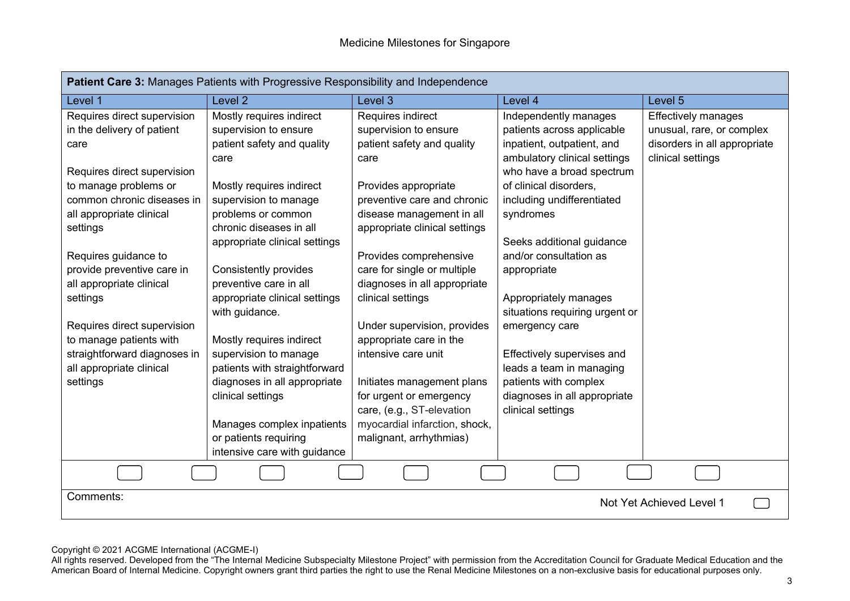| Patient Care 3: Manages Patients with Progressive Responsibility and Independence |                               |                               |                                |                              |  |  |
|-----------------------------------------------------------------------------------|-------------------------------|-------------------------------|--------------------------------|------------------------------|--|--|
| Level 1                                                                           | Level <sub>2</sub>            | Level 3                       | Level 4                        | Level 5                      |  |  |
| Requires direct supervision                                                       | Mostly requires indirect      | Requires indirect             | Independently manages          | <b>Effectively manages</b>   |  |  |
| in the delivery of patient                                                        | supervision to ensure         | supervision to ensure         | patients across applicable     | unusual, rare, or complex    |  |  |
| care                                                                              | patient safety and quality    | patient safety and quality    | inpatient, outpatient, and     | disorders in all appropriate |  |  |
|                                                                                   | care                          | care                          | ambulatory clinical settings   | clinical settings            |  |  |
| Requires direct supervision                                                       |                               |                               | who have a broad spectrum      |                              |  |  |
| to manage problems or                                                             | Mostly requires indirect      | Provides appropriate          | of clinical disorders,         |                              |  |  |
| common chronic diseases in                                                        | supervision to manage         | preventive care and chronic   | including undifferentiated     |                              |  |  |
| all appropriate clinical                                                          | problems or common            | disease management in all     | syndromes                      |                              |  |  |
| settings                                                                          | chronic diseases in all       | appropriate clinical settings |                                |                              |  |  |
|                                                                                   | appropriate clinical settings |                               | Seeks additional guidance      |                              |  |  |
| Requires guidance to                                                              |                               | Provides comprehensive        | and/or consultation as         |                              |  |  |
| provide preventive care in                                                        | Consistently provides         | care for single or multiple   | appropriate                    |                              |  |  |
| all appropriate clinical                                                          | preventive care in all        | diagnoses in all appropriate  |                                |                              |  |  |
| settings                                                                          | appropriate clinical settings | clinical settings             | Appropriately manages          |                              |  |  |
|                                                                                   | with guidance.                |                               | situations requiring urgent or |                              |  |  |
| Requires direct supervision                                                       |                               | Under supervision, provides   | emergency care                 |                              |  |  |
| to manage patients with                                                           | Mostly requires indirect      | appropriate care in the       |                                |                              |  |  |
| straightforward diagnoses in                                                      | supervision to manage         | intensive care unit           | Effectively supervises and     |                              |  |  |
| all appropriate clinical                                                          | patients with straightforward |                               | leads a team in managing       |                              |  |  |
| settings                                                                          | diagnoses in all appropriate  | Initiates management plans    | patients with complex          |                              |  |  |
|                                                                                   | clinical settings             | for urgent or emergency       | diagnoses in all appropriate   |                              |  |  |
|                                                                                   |                               | care, (e.g., ST-elevation     | clinical settings              |                              |  |  |
|                                                                                   | Manages complex inpatients    | myocardial infarction, shock, |                                |                              |  |  |
|                                                                                   | or patients requiring         | malignant, arrhythmias)       |                                |                              |  |  |
|                                                                                   | intensive care with guidance  |                               |                                |                              |  |  |
|                                                                                   |                               |                               |                                |                              |  |  |
| Comments:                                                                         |                               |                               |                                | Not Yet Achieved Level 1     |  |  |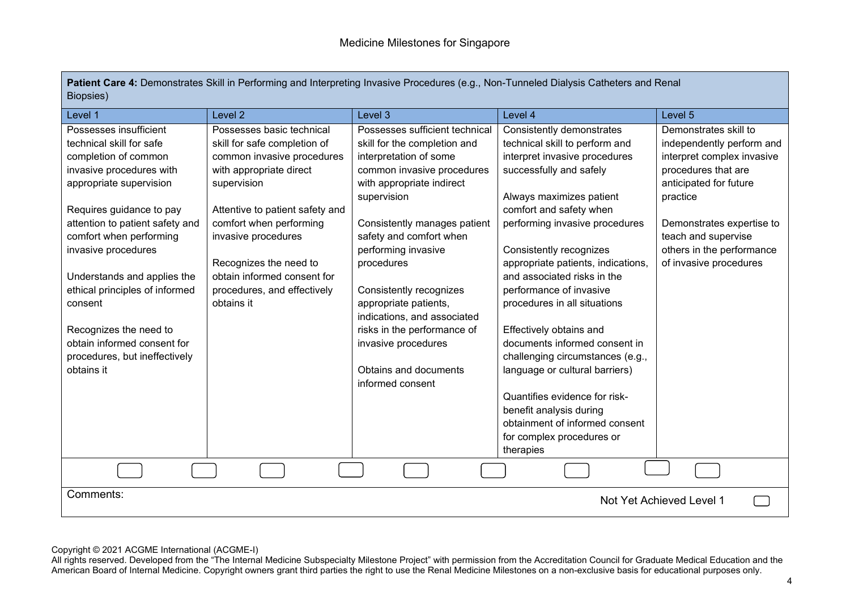| Patient Care 4: Demonstrates Skill in Performing and Interpreting Invasive Procedures (e.g., Non-Tunneled Dialysis Catheters and Renal<br>Biopsies) |                                 |                                           |                                    |                            |  |
|-----------------------------------------------------------------------------------------------------------------------------------------------------|---------------------------------|-------------------------------------------|------------------------------------|----------------------------|--|
| Level 1                                                                                                                                             | Level <sub>2</sub>              | Level <sub>3</sub>                        | Level 4                            | Level 5                    |  |
| Possesses insufficient                                                                                                                              | Possesses basic technical       | Possesses sufficient technical            | Consistently demonstrates          | Demonstrates skill to      |  |
| technical skill for safe                                                                                                                            | skill for safe completion of    | skill for the completion and              | technical skill to perform and     | independently perform and  |  |
| completion of common                                                                                                                                | common invasive procedures      | interpretation of some                    | interpret invasive procedures      | interpret complex invasive |  |
| invasive procedures with                                                                                                                            | with appropriate direct         | common invasive procedures                | successfully and safely            | procedures that are        |  |
| appropriate supervision                                                                                                                             | supervision                     | with appropriate indirect                 |                                    | anticipated for future     |  |
|                                                                                                                                                     |                                 | supervision                               | Always maximizes patient           | practice                   |  |
| Requires guidance to pay                                                                                                                            | Attentive to patient safety and |                                           | comfort and safety when            |                            |  |
| attention to patient safety and                                                                                                                     | comfort when performing         | Consistently manages patient              | performing invasive procedures     | Demonstrates expertise to  |  |
| comfort when performing                                                                                                                             | invasive procedures             | safety and comfort when                   |                                    | teach and supervise        |  |
| invasive procedures                                                                                                                                 |                                 | performing invasive                       | Consistently recognizes            | others in the performance  |  |
|                                                                                                                                                     | Recognizes the need to          | procedures                                | appropriate patients, indications, | of invasive procedures     |  |
| Understands and applies the                                                                                                                         | obtain informed consent for     |                                           | and associated risks in the        |                            |  |
| ethical principles of informed                                                                                                                      | procedures, and effectively     | Consistently recognizes                   | performance of invasive            |                            |  |
| consent                                                                                                                                             | obtains it                      | appropriate patients,                     | procedures in all situations       |                            |  |
|                                                                                                                                                     |                                 | indications, and associated               |                                    |                            |  |
| Recognizes the need to                                                                                                                              |                                 | risks in the performance of               | Effectively obtains and            |                            |  |
| obtain informed consent for                                                                                                                         |                                 | invasive procedures                       | documents informed consent in      |                            |  |
| procedures, but ineffectively                                                                                                                       |                                 |                                           | challenging circumstances (e.g.,   |                            |  |
| obtains it                                                                                                                                          |                                 | Obtains and documents<br>informed consent | language or cultural barriers)     |                            |  |
|                                                                                                                                                     |                                 |                                           | Quantifies evidence for risk-      |                            |  |
|                                                                                                                                                     |                                 |                                           | benefit analysis during            |                            |  |
|                                                                                                                                                     |                                 |                                           | obtainment of informed consent     |                            |  |
|                                                                                                                                                     |                                 |                                           | for complex procedures or          |                            |  |
|                                                                                                                                                     |                                 |                                           | therapies                          |                            |  |
|                                                                                                                                                     |                                 |                                           |                                    |                            |  |
| Comments:                                                                                                                                           |                                 |                                           |                                    | Not Yet Achieved Level 1   |  |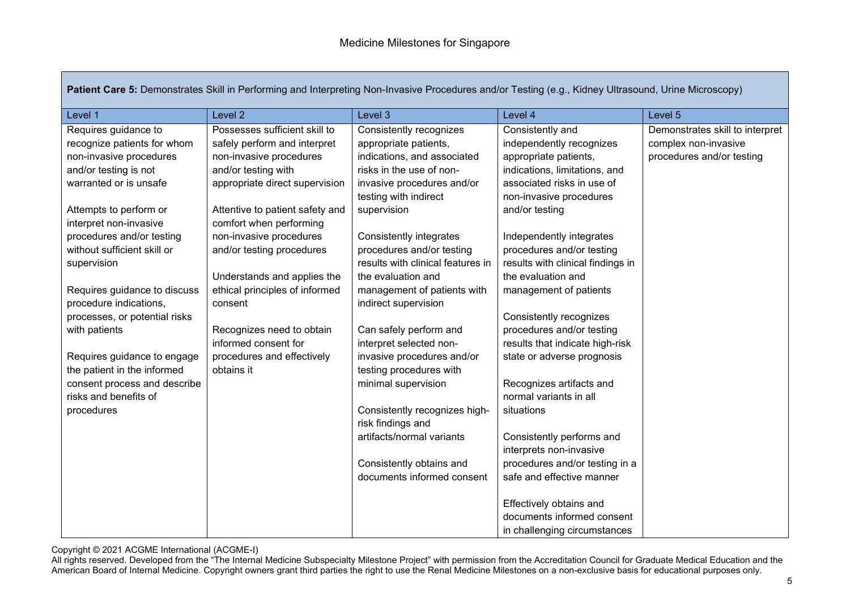|                               |                                 |                                                     | Patient Care 5: Demonstrates Skill in Performing and Interpreting Non-Invasive Procedures and/or Testing (e.g., Kidney Ultrasound, Urine Microscopy) |                                 |
|-------------------------------|---------------------------------|-----------------------------------------------------|------------------------------------------------------------------------------------------------------------------------------------------------------|---------------------------------|
| Level 1                       | Level <sub>2</sub>              | Level 3                                             | Level 4                                                                                                                                              | Level 5                         |
| Requires guidance to          | Possesses sufficient skill to   | Consistently recognizes                             | Consistently and                                                                                                                                     | Demonstrates skill to interpret |
| recognize patients for whom   | safely perform and interpret    | appropriate patients,                               | independently recognizes                                                                                                                             | complex non-invasive            |
| non-invasive procedures       | non-invasive procedures         | indications, and associated                         | appropriate patients,                                                                                                                                | procedures and/or testing       |
| and/or testing is not         | and/or testing with             | risks in the use of non-                            | indications, limitations, and                                                                                                                        |                                 |
| warranted or is unsafe        | appropriate direct supervision  | invasive procedures and/or<br>testing with indirect | associated risks in use of<br>non-invasive procedures                                                                                                |                                 |
| Attempts to perform or        | Attentive to patient safety and | supervision                                         | and/or testing                                                                                                                                       |                                 |
| interpret non-invasive        | comfort when performing         |                                                     |                                                                                                                                                      |                                 |
| procedures and/or testing     | non-invasive procedures         | Consistently integrates                             | Independently integrates                                                                                                                             |                                 |
| without sufficient skill or   | and/or testing procedures       | procedures and/or testing                           | procedures and/or testing                                                                                                                            |                                 |
| supervision                   |                                 | results with clinical features in                   | results with clinical findings in                                                                                                                    |                                 |
|                               | Understands and applies the     | the evaluation and                                  | the evaluation and                                                                                                                                   |                                 |
| Requires guidance to discuss  | ethical principles of informed  | management of patients with                         | management of patients                                                                                                                               |                                 |
| procedure indications,        | consent                         | indirect supervision                                |                                                                                                                                                      |                                 |
| processes, or potential risks |                                 |                                                     | Consistently recognizes                                                                                                                              |                                 |
| with patients                 | Recognizes need to obtain       | Can safely perform and                              | procedures and/or testing                                                                                                                            |                                 |
|                               | informed consent for            | interpret selected non-                             | results that indicate high-risk                                                                                                                      |                                 |
| Requires guidance to engage   | procedures and effectively      | invasive procedures and/or                          | state or adverse prognosis                                                                                                                           |                                 |
| the patient in the informed   | obtains it                      | testing procedures with                             |                                                                                                                                                      |                                 |
| consent process and describe  |                                 | minimal supervision                                 | Recognizes artifacts and                                                                                                                             |                                 |
| risks and benefits of         |                                 |                                                     | normal variants in all                                                                                                                               |                                 |
| procedures                    |                                 | Consistently recognizes high-                       | situations                                                                                                                                           |                                 |
|                               |                                 | risk findings and                                   |                                                                                                                                                      |                                 |
|                               |                                 | artifacts/normal variants                           | Consistently performs and                                                                                                                            |                                 |
|                               |                                 |                                                     | interprets non-invasive                                                                                                                              |                                 |
|                               |                                 | Consistently obtains and                            | procedures and/or testing in a                                                                                                                       |                                 |
|                               |                                 | documents informed consent                          | safe and effective manner                                                                                                                            |                                 |
|                               |                                 |                                                     | Effectively obtains and                                                                                                                              |                                 |
|                               |                                 |                                                     | documents informed consent                                                                                                                           |                                 |
|                               |                                 |                                                     | in challenging circumstances                                                                                                                         |                                 |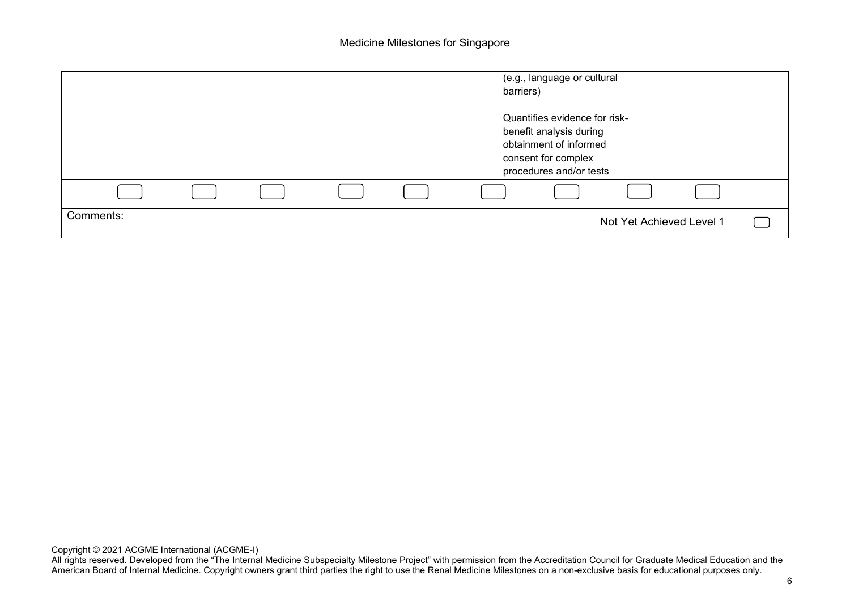|           |  |  | (e.g., language or cultural<br>barriers)                                                                                             |                          |  |
|-----------|--|--|--------------------------------------------------------------------------------------------------------------------------------------|--------------------------|--|
|           |  |  | Quantifies evidence for risk-<br>benefit analysis during<br>obtainment of informed<br>consent for complex<br>procedures and/or tests |                          |  |
|           |  |  |                                                                                                                                      |                          |  |
| Comments: |  |  |                                                                                                                                      | Not Yet Achieved Level 1 |  |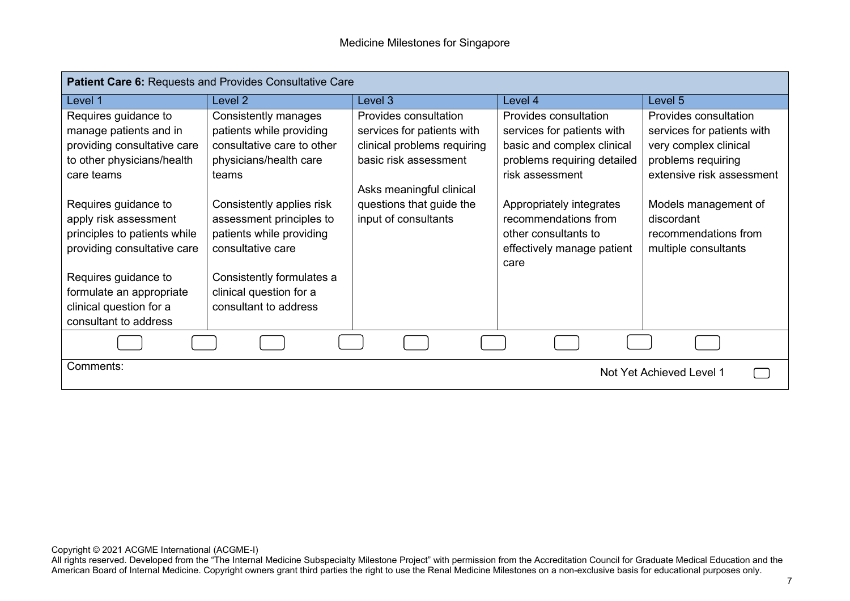| <b>Patient Care 6: Requests and Provides Consultative Care</b> |                                                      |                                                  |                                                  |                                    |  |  |  |  |
|----------------------------------------------------------------|------------------------------------------------------|--------------------------------------------------|--------------------------------------------------|------------------------------------|--|--|--|--|
| Level 1                                                        | Level 2                                              | Level 3                                          | Level 4                                          | Level 5                            |  |  |  |  |
| Requires guidance to                                           | Consistently manages                                 | Provides consultation                            | Provides consultation                            | Provides consultation              |  |  |  |  |
| manage patients and in                                         | patients while providing                             | services for patients with                       | services for patients with                       | services for patients with         |  |  |  |  |
| providing consultative care                                    | consultative care to other                           | clinical problems requiring                      | basic and complex clinical                       | very complex clinical              |  |  |  |  |
| to other physicians/health                                     | physicians/health care                               | basic risk assessment                            | problems requiring detailed                      | problems requiring                 |  |  |  |  |
| care teams                                                     | teams                                                |                                                  | risk assessment                                  | extensive risk assessment          |  |  |  |  |
|                                                                |                                                      | Asks meaningful clinical                         |                                                  |                                    |  |  |  |  |
| Requires guidance to<br>apply risk assessment                  | Consistently applies risk                            | questions that guide the<br>input of consultants | Appropriately integrates<br>recommendations from | Models management of<br>discordant |  |  |  |  |
| principles to patients while                                   | assessment principles to<br>patients while providing |                                                  | other consultants to                             | recommendations from               |  |  |  |  |
| providing consultative care                                    | consultative care                                    |                                                  | effectively manage patient                       | multiple consultants               |  |  |  |  |
|                                                                |                                                      |                                                  | care                                             |                                    |  |  |  |  |
| Requires guidance to                                           | Consistently formulates a                            |                                                  |                                                  |                                    |  |  |  |  |
| formulate an appropriate                                       | clinical question for a                              |                                                  |                                                  |                                    |  |  |  |  |
| clinical question for a                                        | consultant to address                                |                                                  |                                                  |                                    |  |  |  |  |
| consultant to address                                          |                                                      |                                                  |                                                  |                                    |  |  |  |  |
|                                                                |                                                      |                                                  |                                                  |                                    |  |  |  |  |
| Comments:                                                      |                                                      |                                                  |                                                  | Not Yet Achieved Level 1           |  |  |  |  |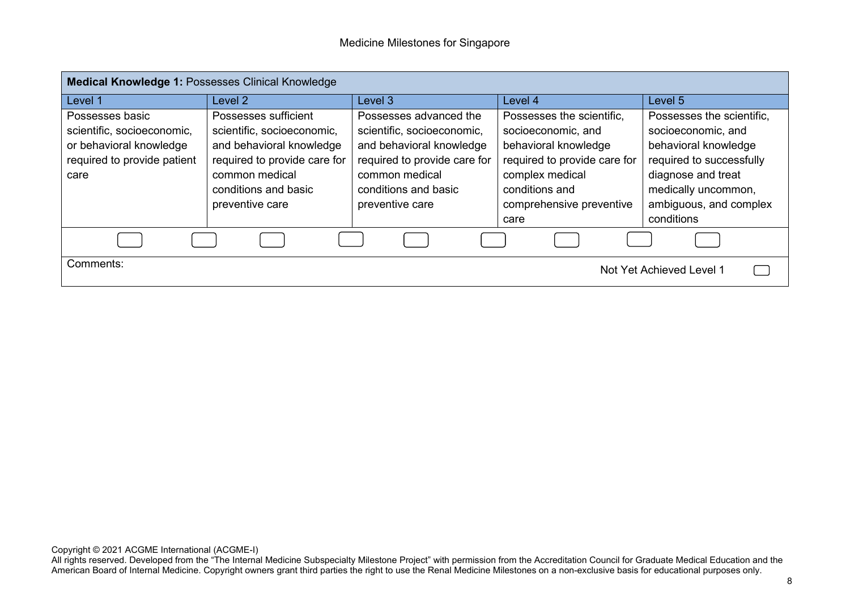| Medical Knowledge 1: Possesses Clinical Knowledge                                                               |                                                                                                                                                                             |                                                                                                                                                                               |                                                                                                                                                                          |                                                                                                                                                                            |  |  |  |
|-----------------------------------------------------------------------------------------------------------------|-----------------------------------------------------------------------------------------------------------------------------------------------------------------------------|-------------------------------------------------------------------------------------------------------------------------------------------------------------------------------|--------------------------------------------------------------------------------------------------------------------------------------------------------------------------|----------------------------------------------------------------------------------------------------------------------------------------------------------------------------|--|--|--|
| Level 1                                                                                                         | Level 2                                                                                                                                                                     | Level 3                                                                                                                                                                       | Level 4                                                                                                                                                                  | Level 5                                                                                                                                                                    |  |  |  |
| Possesses basic<br>scientific, socioeconomic,<br>or behavioral knowledge<br>required to provide patient<br>care | Possesses sufficient<br>scientific, socioeconomic,<br>and behavioral knowledge<br>required to provide care for<br>common medical<br>conditions and basic<br>preventive care | Possesses advanced the<br>scientific, socioeconomic,<br>and behavioral knowledge<br>required to provide care for<br>common medical<br>conditions and basic<br>preventive care | Possesses the scientific,<br>socioeconomic, and<br>behavioral knowledge<br>required to provide care for<br>complex medical<br>conditions and<br>comprehensive preventive | Possesses the scientific,<br>socioeconomic, and<br>behavioral knowledge<br>required to successfully<br>diagnose and treat<br>medically uncommon,<br>ambiguous, and complex |  |  |  |
| Comments:                                                                                                       |                                                                                                                                                                             |                                                                                                                                                                               | care                                                                                                                                                                     | conditions<br>Not Yet Achieved Level 1                                                                                                                                     |  |  |  |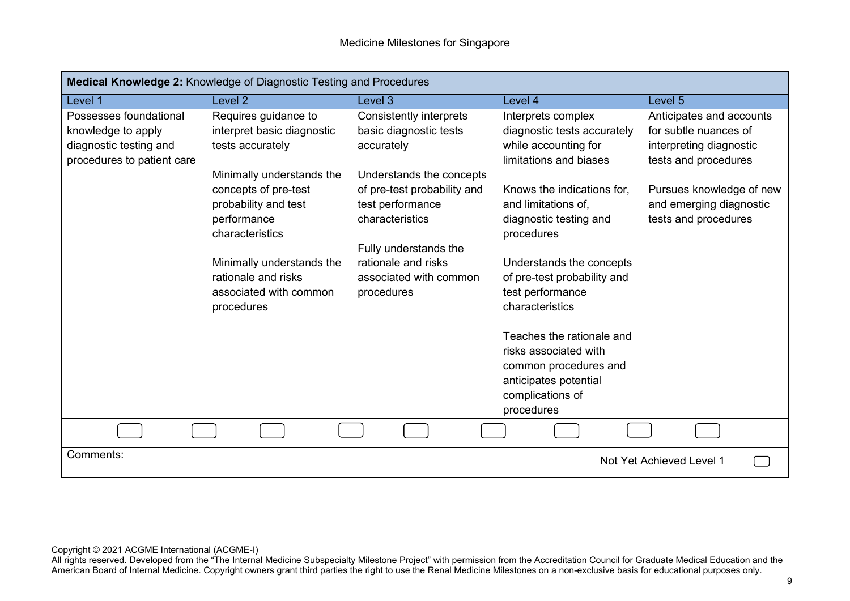| Medical Knowledge 2: Knowledge of Diagnostic Testing and Procedures                                  |                                                                                                                                                                                                                                                                                   |                                                                                                                                                                                                                                                                  |                                                                                                                                                                                                                                                                                                                                                                                                                                              |                                                                                                                                                                                     |  |  |
|------------------------------------------------------------------------------------------------------|-----------------------------------------------------------------------------------------------------------------------------------------------------------------------------------------------------------------------------------------------------------------------------------|------------------------------------------------------------------------------------------------------------------------------------------------------------------------------------------------------------------------------------------------------------------|----------------------------------------------------------------------------------------------------------------------------------------------------------------------------------------------------------------------------------------------------------------------------------------------------------------------------------------------------------------------------------------------------------------------------------------------|-------------------------------------------------------------------------------------------------------------------------------------------------------------------------------------|--|--|
| Level 1                                                                                              | Level 2                                                                                                                                                                                                                                                                           | Level <sub>3</sub>                                                                                                                                                                                                                                               | Level 4                                                                                                                                                                                                                                                                                                                                                                                                                                      | Level 5                                                                                                                                                                             |  |  |
| Possesses foundational<br>knowledge to apply<br>diagnostic testing and<br>procedures to patient care | Requires guidance to<br>interpret basic diagnostic<br>tests accurately<br>Minimally understands the<br>concepts of pre-test<br>probability and test<br>performance<br>characteristics<br>Minimally understands the<br>rationale and risks<br>associated with common<br>procedures | <b>Consistently interprets</b><br>basic diagnostic tests<br>accurately<br>Understands the concepts<br>of pre-test probability and<br>test performance<br>characteristics<br>Fully understands the<br>rationale and risks<br>associated with common<br>procedures | Interprets complex<br>diagnostic tests accurately<br>while accounting for<br>limitations and biases<br>Knows the indications for,<br>and limitations of.<br>diagnostic testing and<br>procedures<br>Understands the concepts<br>of pre-test probability and<br>test performance<br>characteristics<br>Teaches the rationale and<br>risks associated with<br>common procedures and<br>anticipates potential<br>complications of<br>procedures | Anticipates and accounts<br>for subtle nuances of<br>interpreting diagnostic<br>tests and procedures<br>Pursues knowledge of new<br>and emerging diagnostic<br>tests and procedures |  |  |
|                                                                                                      |                                                                                                                                                                                                                                                                                   |                                                                                                                                                                                                                                                                  |                                                                                                                                                                                                                                                                                                                                                                                                                                              |                                                                                                                                                                                     |  |  |
| Comments:                                                                                            |                                                                                                                                                                                                                                                                                   |                                                                                                                                                                                                                                                                  |                                                                                                                                                                                                                                                                                                                                                                                                                                              | Not Yet Achieved Level 1                                                                                                                                                            |  |  |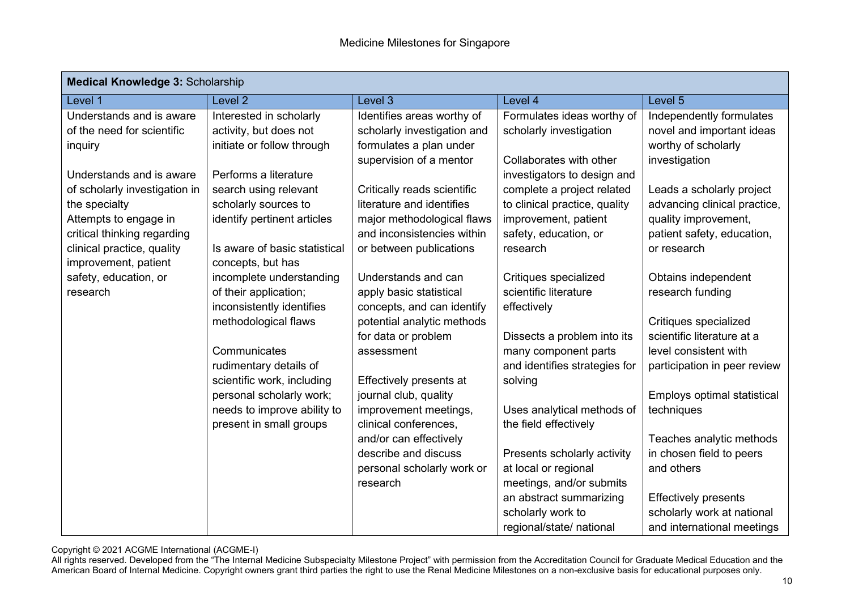|                               | <b>Medical Knowledge 3: Scholarship</b> |                                   |                                                     |                                                     |  |  |  |  |
|-------------------------------|-----------------------------------------|-----------------------------------|-----------------------------------------------------|-----------------------------------------------------|--|--|--|--|
| Level 1                       | Level <sub>2</sub>                      | Level 3                           | Level 4                                             | Level 5                                             |  |  |  |  |
| Understands and is aware      | Interested in scholarly                 | Identifies areas worthy of        | Formulates ideas worthy of                          | Independently formulates                            |  |  |  |  |
| of the need for scientific    | activity, but does not                  | scholarly investigation and       | scholarly investigation                             | novel and important ideas                           |  |  |  |  |
| inquiry                       | initiate or follow through              | formulates a plan under           |                                                     | worthy of scholarly                                 |  |  |  |  |
|                               |                                         | supervision of a mentor           | Collaborates with other                             | investigation                                       |  |  |  |  |
| Understands and is aware      | Performs a literature                   |                                   | investigators to design and                         |                                                     |  |  |  |  |
| of scholarly investigation in | search using relevant                   | Critically reads scientific       | complete a project related                          | Leads a scholarly project                           |  |  |  |  |
| the specialty                 | scholarly sources to                    | literature and identifies         | to clinical practice, quality                       | advancing clinical practice,                        |  |  |  |  |
| Attempts to engage in         | identify pertinent articles             | major methodological flaws        | improvement, patient                                | quality improvement,                                |  |  |  |  |
| critical thinking regarding   |                                         | and inconsistencies within        | safety, education, or                               | patient safety, education,                          |  |  |  |  |
| clinical practice, quality    | Is aware of basic statistical           | or between publications           | research                                            | or research                                         |  |  |  |  |
| improvement, patient          | concepts, but has                       |                                   |                                                     |                                                     |  |  |  |  |
| safety, education, or         | incomplete understanding                | Understands and can               | Critiques specialized                               | Obtains independent                                 |  |  |  |  |
| research                      | of their application;                   | apply basic statistical           | scientific literature                               | research funding                                    |  |  |  |  |
|                               | inconsistently identifies               | concepts, and can identify        | effectively                                         |                                                     |  |  |  |  |
|                               | methodological flaws                    | potential analytic methods        |                                                     | Critiques specialized<br>scientific literature at a |  |  |  |  |
|                               | Communicates                            | for data or problem<br>assessment | Dissects a problem into its<br>many component parts | level consistent with                               |  |  |  |  |
|                               | rudimentary details of                  |                                   | and identifies strategies for                       | participation in peer review                        |  |  |  |  |
|                               | scientific work, including              | Effectively presents at           | solving                                             |                                                     |  |  |  |  |
|                               | personal scholarly work;                | journal club, quality             |                                                     | Employs optimal statistical                         |  |  |  |  |
|                               | needs to improve ability to             | improvement meetings,             | Uses analytical methods of                          | techniques                                          |  |  |  |  |
|                               | present in small groups                 | clinical conferences,             | the field effectively                               |                                                     |  |  |  |  |
|                               |                                         | and/or can effectively            |                                                     | Teaches analytic methods                            |  |  |  |  |
|                               |                                         | describe and discuss              | Presents scholarly activity                         | in chosen field to peers                            |  |  |  |  |
|                               |                                         | personal scholarly work or        | at local or regional                                | and others                                          |  |  |  |  |
|                               |                                         | research                          | meetings, and/or submits                            |                                                     |  |  |  |  |
|                               |                                         |                                   | an abstract summarizing                             | <b>Effectively presents</b>                         |  |  |  |  |
|                               |                                         |                                   | scholarly work to                                   | scholarly work at national                          |  |  |  |  |
|                               |                                         |                                   | regional/state/ national                            | and international meetings                          |  |  |  |  |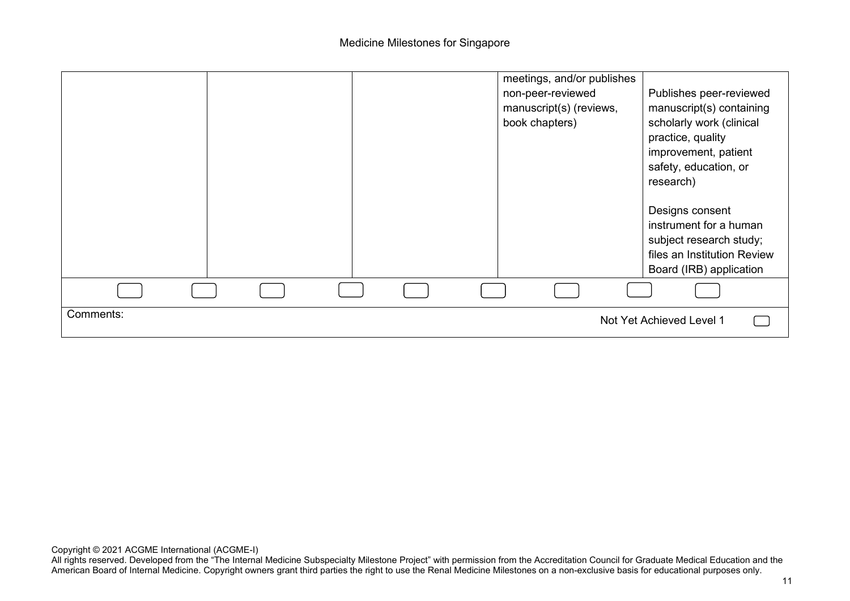|           |  |  |  | meetings, and/or publishes<br>non-peer-reviewed<br>manuscript(s) (reviews,<br>book chapters) | Publishes peer-reviewed<br>manuscript(s) containing<br>scholarly work (clinical<br>practice, quality<br>improvement, patient<br>safety, education, or<br>research)<br>Designs consent<br>instrument for a human<br>subject research study;<br>files an Institution Review<br>Board (IRB) application |  |
|-----------|--|--|--|----------------------------------------------------------------------------------------------|------------------------------------------------------------------------------------------------------------------------------------------------------------------------------------------------------------------------------------------------------------------------------------------------------|--|
|           |  |  |  |                                                                                              |                                                                                                                                                                                                                                                                                                      |  |
| Comments: |  |  |  |                                                                                              | Not Yet Achieved Level 1                                                                                                                                                                                                                                                                             |  |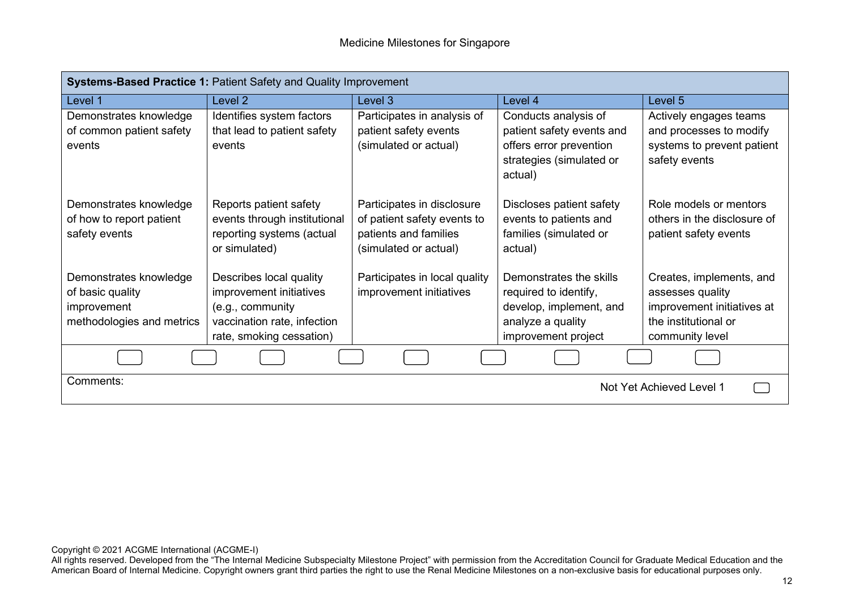| Systems-Based Practice 1: Patient Safety and Quality Improvement |                              |                               |                                     |                             |  |
|------------------------------------------------------------------|------------------------------|-------------------------------|-------------------------------------|-----------------------------|--|
| Level 1                                                          | Level 2                      | Level 3                       | Level 4                             | Level 5                     |  |
| Demonstrates knowledge                                           | Identifies system factors    | Participates in analysis of   | Conducts analysis of                | Actively engages teams      |  |
| of common patient safety                                         | that lead to patient safety  | patient safety events         | patient safety events and           | and processes to modify     |  |
| events                                                           | events                       | (simulated or actual)         | offers error prevention             | systems to prevent patient  |  |
|                                                                  |                              |                               | strategies (simulated or<br>actual) | safety events               |  |
|                                                                  |                              |                               |                                     |                             |  |
| Demonstrates knowledge                                           | Reports patient safety       | Participates in disclosure    | Discloses patient safety            | Role models or mentors      |  |
| of how to report patient                                         | events through institutional | of patient safety events to   | events to patients and              | others in the disclosure of |  |
| safety events                                                    | reporting systems (actual    | patients and families         | families (simulated or              | patient safety events       |  |
|                                                                  | or simulated)                | (simulated or actual)         | actual)                             |                             |  |
| Demonstrates knowledge                                           | Describes local quality      | Participates in local quality | Demonstrates the skills             | Creates, implements, and    |  |
| of basic quality                                                 | improvement initiatives      | improvement initiatives       | required to identify,               | assesses quality            |  |
| improvement                                                      | (e.g., community             |                               | develop, implement, and             | improvement initiatives at  |  |
| methodologies and metrics                                        | vaccination rate, infection  |                               | analyze a quality                   | the institutional or        |  |
|                                                                  | rate, smoking cessation)     |                               | improvement project                 | community level             |  |
|                                                                  |                              |                               |                                     |                             |  |
| Comments:                                                        |                              |                               |                                     | Not Yet Achieved Level 1    |  |
|                                                                  |                              |                               |                                     |                             |  |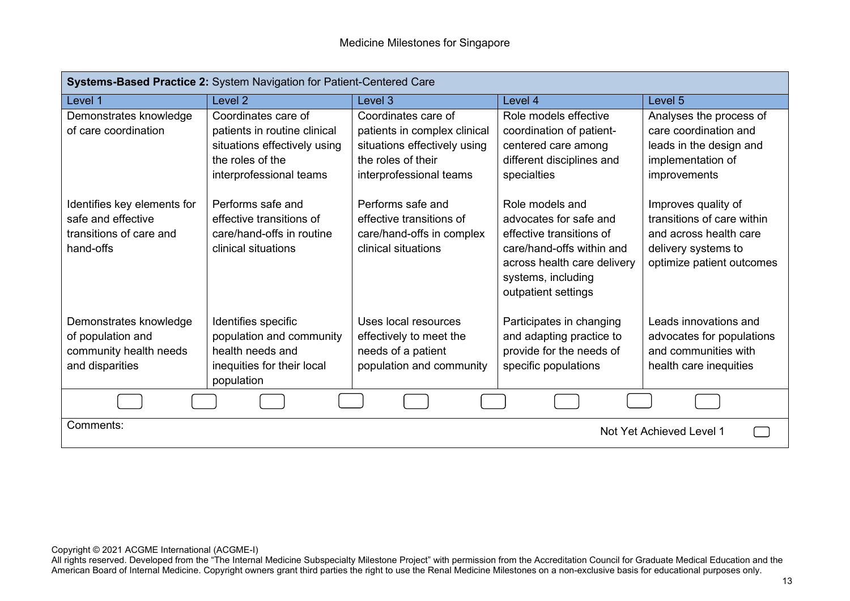| Systems-Based Practice 2: System Navigation for Patient-Centered Care                     |                                                                                                                                    |                                                                                                                                      |                                                                                                                                                                                |                                                                                                                                 |  |
|-------------------------------------------------------------------------------------------|------------------------------------------------------------------------------------------------------------------------------------|--------------------------------------------------------------------------------------------------------------------------------------|--------------------------------------------------------------------------------------------------------------------------------------------------------------------------------|---------------------------------------------------------------------------------------------------------------------------------|--|
| Level 1                                                                                   | Level <sub>2</sub>                                                                                                                 | Level 3                                                                                                                              | Level 4                                                                                                                                                                        | Level 5                                                                                                                         |  |
| Demonstrates knowledge<br>of care coordination                                            | Coordinates care of<br>patients in routine clinical<br>situations effectively using<br>the roles of the<br>interprofessional teams | Coordinates care of<br>patients in complex clinical<br>situations effectively using<br>the roles of their<br>interprofessional teams | Role models effective<br>coordination of patient-<br>centered care among<br>different disciplines and<br>specialties                                                           | Analyses the process of<br>care coordination and<br>leads in the design and<br>implementation of<br><i>improvements</i>         |  |
| Identifies key elements for<br>safe and effective<br>transitions of care and<br>hand-offs | Performs safe and<br>effective transitions of<br>care/hand-offs in routine<br>clinical situations                                  | Performs safe and<br>effective transitions of<br>care/hand-offs in complex<br>clinical situations                                    | Role models and<br>advocates for safe and<br>effective transitions of<br>care/hand-offs within and<br>across health care delivery<br>systems, including<br>outpatient settings | Improves quality of<br>transitions of care within<br>and across health care<br>delivery systems to<br>optimize patient outcomes |  |
| Demonstrates knowledge<br>of population and<br>community health needs<br>and disparities  | Identifies specific<br>population and community<br>health needs and<br>inequities for their local<br>population                    | Uses local resources<br>effectively to meet the<br>needs of a patient<br>population and community                                    | Participates in changing<br>and adapting practice to<br>provide for the needs of<br>specific populations                                                                       | Leads innovations and<br>advocates for populations<br>and communities with<br>health care inequities                            |  |
|                                                                                           |                                                                                                                                    |                                                                                                                                      |                                                                                                                                                                                |                                                                                                                                 |  |
| Comments:<br>Not Yet Achieved Level 1                                                     |                                                                                                                                    |                                                                                                                                      |                                                                                                                                                                                |                                                                                                                                 |  |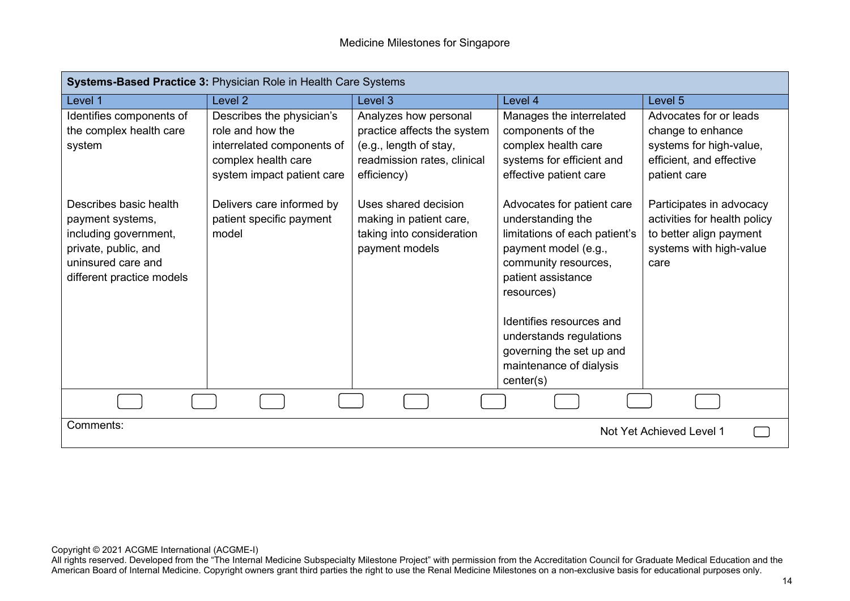| Systems-Based Practice 3: Physician Role in Health Care Systems                                                                                |                                                                                                                                  |                                                                                                                              |                                                                                                                                                                                                                                                                                                 |                                                                                                                        |  |
|------------------------------------------------------------------------------------------------------------------------------------------------|----------------------------------------------------------------------------------------------------------------------------------|------------------------------------------------------------------------------------------------------------------------------|-------------------------------------------------------------------------------------------------------------------------------------------------------------------------------------------------------------------------------------------------------------------------------------------------|------------------------------------------------------------------------------------------------------------------------|--|
| Level 1                                                                                                                                        | Level <sub>2</sub>                                                                                                               | Level 3                                                                                                                      | Level 4                                                                                                                                                                                                                                                                                         | Level 5                                                                                                                |  |
| Identifies components of<br>the complex health care<br>system                                                                                  | Describes the physician's<br>role and how the<br>interrelated components of<br>complex health care<br>system impact patient care | Analyzes how personal<br>practice affects the system<br>(e.g., length of stay,<br>readmission rates, clinical<br>efficiency) | Manages the interrelated<br>components of the<br>complex health care<br>systems for efficient and<br>effective patient care                                                                                                                                                                     | Advocates for or leads<br>change to enhance<br>systems for high-value,<br>efficient, and effective<br>patient care     |  |
| Describes basic health<br>payment systems,<br>including government,<br>private, public, and<br>uninsured care and<br>different practice models | Delivers care informed by<br>patient specific payment<br>model                                                                   | Uses shared decision<br>making in patient care,<br>taking into consideration<br>payment models                               | Advocates for patient care<br>understanding the<br>limitations of each patient's<br>payment model (e.g.,<br>community resources,<br>patient assistance<br>resources)<br>Identifies resources and<br>understands regulations<br>governing the set up and<br>maintenance of dialysis<br>center(s) | Participates in advocacy<br>activities for health policy<br>to better align payment<br>systems with high-value<br>care |  |
|                                                                                                                                                |                                                                                                                                  |                                                                                                                              |                                                                                                                                                                                                                                                                                                 |                                                                                                                        |  |
| Comments:<br>Not Yet Achieved Level 1                                                                                                          |                                                                                                                                  |                                                                                                                              |                                                                                                                                                                                                                                                                                                 |                                                                                                                        |  |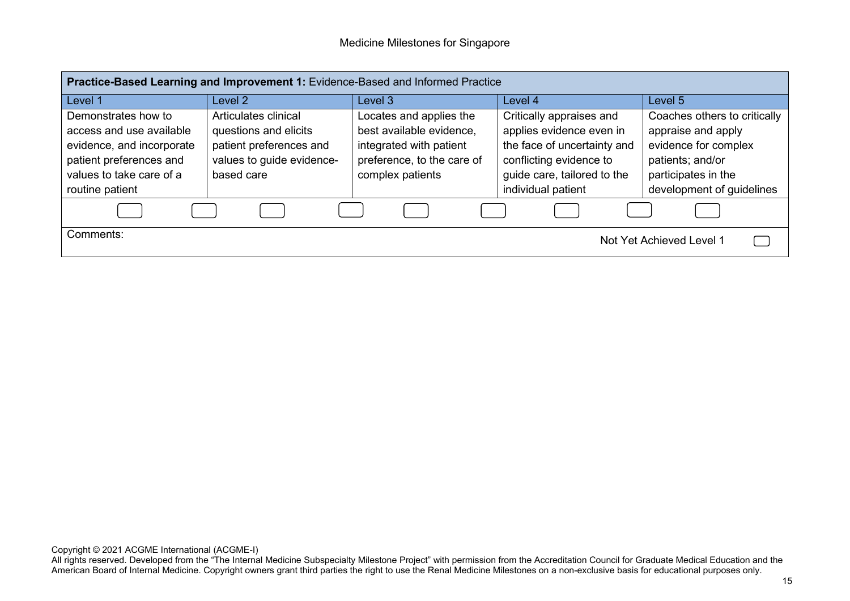| Practice-Based Learning and Improvement 1: Evidence-Based and Informed Practice                                                                        |                                                                                                                     |                                                                                                                                  |                                                                                                                                                                     |                                                                                                                                                    |
|--------------------------------------------------------------------------------------------------------------------------------------------------------|---------------------------------------------------------------------------------------------------------------------|----------------------------------------------------------------------------------------------------------------------------------|---------------------------------------------------------------------------------------------------------------------------------------------------------------------|----------------------------------------------------------------------------------------------------------------------------------------------------|
| Level 1                                                                                                                                                | Level 2                                                                                                             | Level 3                                                                                                                          | Level 4                                                                                                                                                             | Level 5                                                                                                                                            |
| Demonstrates how to<br>access and use available<br>evidence, and incorporate<br>patient preferences and<br>values to take care of a<br>routine patient | Articulates clinical<br>questions and elicits<br>patient preferences and<br>values to guide evidence-<br>based care | Locates and applies the<br>best available evidence,<br>integrated with patient<br>preference, to the care of<br>complex patients | Critically appraises and<br>applies evidence even in<br>the face of uncertainty and<br>conflicting evidence to<br>guide care, tailored to the<br>individual patient | Coaches others to critically<br>appraise and apply<br>evidence for complex<br>patients; and/or<br>participates in the<br>development of guidelines |
| Comments:<br>Not Yet Achieved Level 1                                                                                                                  |                                                                                                                     |                                                                                                                                  |                                                                                                                                                                     |                                                                                                                                                    |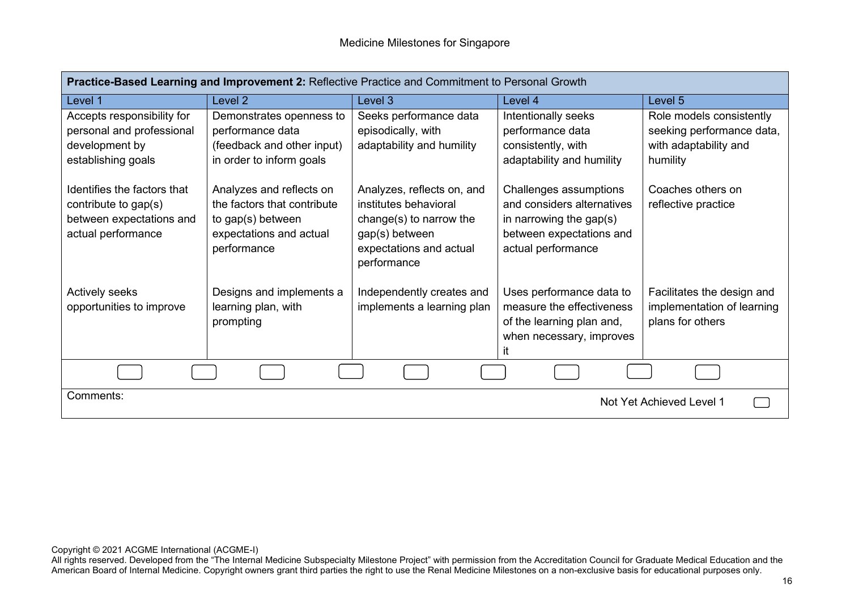| Practice-Based Learning and Improvement 2: Reflective Practice and Commitment to Personal Growth      |                                                                                                                        |                                                                                                                                            |                                                                                                                                   |                                                                              |
|-------------------------------------------------------------------------------------------------------|------------------------------------------------------------------------------------------------------------------------|--------------------------------------------------------------------------------------------------------------------------------------------|-----------------------------------------------------------------------------------------------------------------------------------|------------------------------------------------------------------------------|
| Level 1                                                                                               | Level 2                                                                                                                | Level 3                                                                                                                                    | Level 4                                                                                                                           | Level 5                                                                      |
| Accepts responsibility for                                                                            | Demonstrates openness to                                                                                               | Seeks performance data                                                                                                                     | Intentionally seeks                                                                                                               | Role models consistently                                                     |
| personal and professional                                                                             | performance data                                                                                                       | episodically, with                                                                                                                         | performance data                                                                                                                  | seeking performance data,                                                    |
| development by                                                                                        | (feedback and other input)                                                                                             | adaptability and humility                                                                                                                  | consistently, with                                                                                                                | with adaptability and                                                        |
| establishing goals                                                                                    | in order to inform goals                                                                                               |                                                                                                                                            | adaptability and humility                                                                                                         | humility                                                                     |
| Identifies the factors that<br>contribute to gap(s)<br>between expectations and<br>actual performance | Analyzes and reflects on<br>the factors that contribute<br>to gap(s) between<br>expectations and actual<br>performance | Analyzes, reflects on, and<br>institutes behavioral<br>change(s) to narrow the<br>gap(s) between<br>expectations and actual<br>performance | Challenges assumptions<br>and considers alternatives<br>in narrowing the gap(s)<br>between expectations and<br>actual performance | Coaches others on<br>reflective practice                                     |
| <b>Actively seeks</b><br>opportunities to improve                                                     | Designs and implements a<br>learning plan, with<br>prompting                                                           | Independently creates and<br>implements a learning plan                                                                                    | Uses performance data to<br>measure the effectiveness<br>of the learning plan and,<br>when necessary, improves<br>it              | Facilitates the design and<br>implementation of learning<br>plans for others |
|                                                                                                       |                                                                                                                        |                                                                                                                                            |                                                                                                                                   |                                                                              |
| Comments:<br>Not Yet Achieved Level 1                                                                 |                                                                                                                        |                                                                                                                                            |                                                                                                                                   |                                                                              |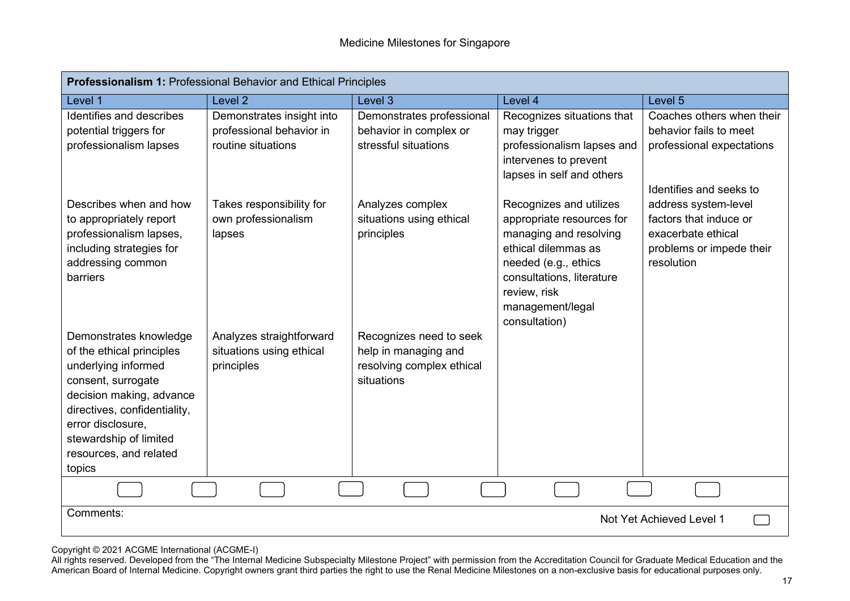| Professionalism 1: Professional Behavior and Ethical Principles                                                                                                                                                                                 |                                                                             |                                                                                            |                                                                                                                                                                                                                 |                                                                                                                                           |  |
|-------------------------------------------------------------------------------------------------------------------------------------------------------------------------------------------------------------------------------------------------|-----------------------------------------------------------------------------|--------------------------------------------------------------------------------------------|-----------------------------------------------------------------------------------------------------------------------------------------------------------------------------------------------------------------|-------------------------------------------------------------------------------------------------------------------------------------------|--|
| Level 1                                                                                                                                                                                                                                         | Level <sub>2</sub>                                                          | Level 3                                                                                    | Level 4                                                                                                                                                                                                         | Level 5                                                                                                                                   |  |
| Identifies and describes<br>potential triggers for<br>professionalism lapses                                                                                                                                                                    | Demonstrates insight into<br>professional behavior in<br>routine situations | Demonstrates professional<br>behavior in complex or<br>stressful situations                | Recognizes situations that<br>may trigger<br>professionalism lapses and<br>intervenes to prevent<br>lapses in self and others                                                                                   | Coaches others when their<br>behavior fails to meet<br>professional expectations                                                          |  |
| Describes when and how<br>to appropriately report<br>professionalism lapses,<br>including strategies for<br>addressing common<br>barriers                                                                                                       | Takes responsibility for<br>own professionalism<br>lapses                   | Analyzes complex<br>situations using ethical<br>principles                                 | Recognizes and utilizes<br>appropriate resources for<br>managing and resolving<br>ethical dilemmas as<br>needed (e.g., ethics<br>consultations, literature<br>review, risk<br>management/legal<br>consultation) | Identifies and seeks to<br>address system-level<br>factors that induce or<br>exacerbate ethical<br>problems or impede their<br>resolution |  |
| Demonstrates knowledge<br>of the ethical principles<br>underlying informed<br>consent, surrogate<br>decision making, advance<br>directives, confidentiality,<br>error disclosure,<br>stewardship of limited<br>resources, and related<br>topics | Analyzes straightforward<br>situations using ethical<br>principles          | Recognizes need to seek<br>help in managing and<br>resolving complex ethical<br>situations |                                                                                                                                                                                                                 |                                                                                                                                           |  |
|                                                                                                                                                                                                                                                 |                                                                             |                                                                                            |                                                                                                                                                                                                                 |                                                                                                                                           |  |
| Comments:<br>Not Yet Achieved Level 1                                                                                                                                                                                                           |                                                                             |                                                                                            |                                                                                                                                                                                                                 |                                                                                                                                           |  |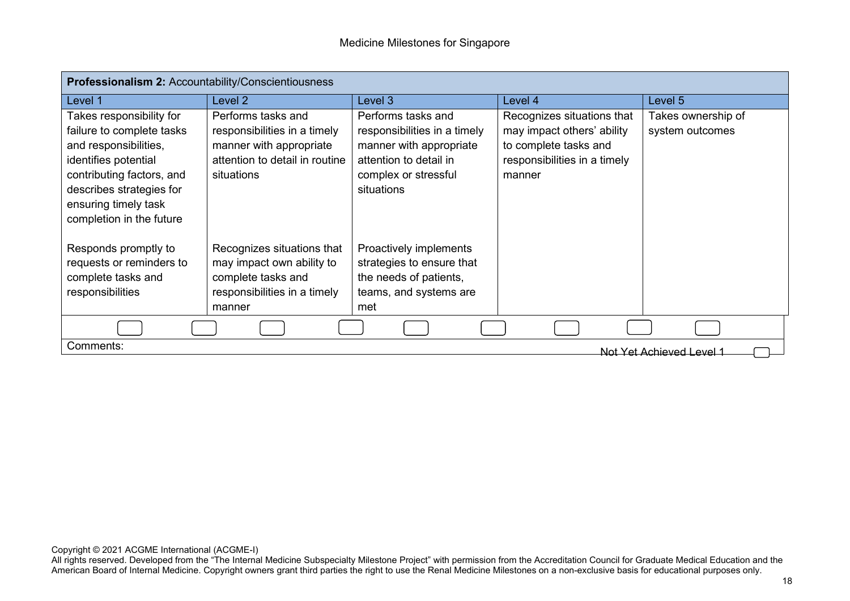| Professionalism 2: Accountability/Conscientiousness                                                                                                                                                                 |                                                                                                                               |                                                                                                                                               |                                                                                                                             |                                       |  |
|---------------------------------------------------------------------------------------------------------------------------------------------------------------------------------------------------------------------|-------------------------------------------------------------------------------------------------------------------------------|-----------------------------------------------------------------------------------------------------------------------------------------------|-----------------------------------------------------------------------------------------------------------------------------|---------------------------------------|--|
| Level 1                                                                                                                                                                                                             | Level 2                                                                                                                       | Level 3                                                                                                                                       | Level 4                                                                                                                     | Level 5                               |  |
| Takes responsibility for<br>failure to complete tasks<br>and responsibilities,<br>identifies potential<br>contributing factors, and<br>describes strategies for<br>ensuring timely task<br>completion in the future | Performs tasks and<br>responsibilities in a timely<br>manner with appropriate<br>attention to detail in routine<br>situations | Performs tasks and<br>responsibilities in a timely<br>manner with appropriate<br>attention to detail in<br>complex or stressful<br>situations | Recognizes situations that<br>may impact others' ability<br>to complete tasks and<br>responsibilities in a timely<br>manner | Takes ownership of<br>system outcomes |  |
| Responds promptly to<br>requests or reminders to<br>complete tasks and<br>responsibilities                                                                                                                          | Recognizes situations that<br>may impact own ability to<br>complete tasks and<br>responsibilities in a timely<br>manner       | Proactively implements<br>strategies to ensure that<br>the needs of patients,<br>teams, and systems are<br>met                                |                                                                                                                             |                                       |  |
|                                                                                                                                                                                                                     |                                                                                                                               |                                                                                                                                               |                                                                                                                             |                                       |  |
| Comments:<br>Not Yet Achieved Level 1                                                                                                                                                                               |                                                                                                                               |                                                                                                                                               |                                                                                                                             |                                       |  |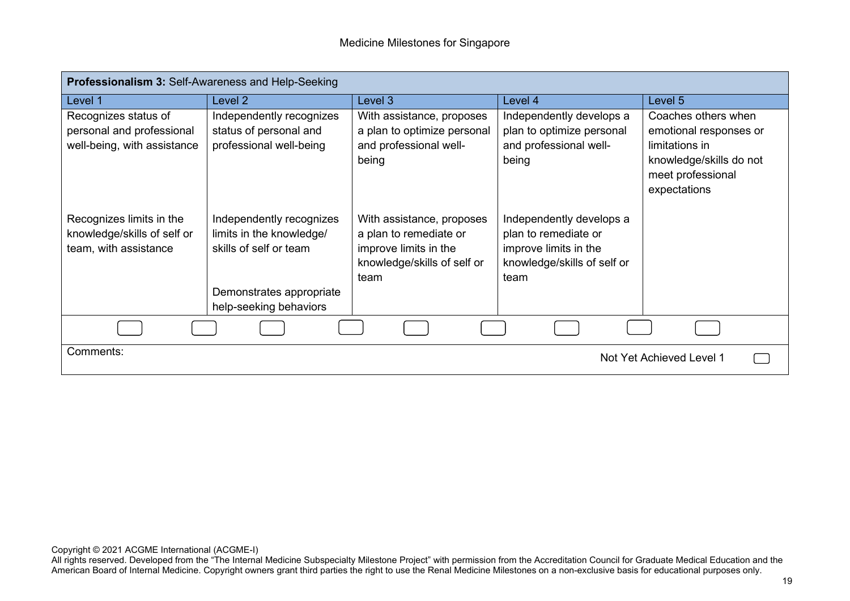| Professionalism 3: Self-Awareness and Help-Seeking                               |                                                                                |                                                                                                                     |                                                                                                                  |                                                                                |
|----------------------------------------------------------------------------------|--------------------------------------------------------------------------------|---------------------------------------------------------------------------------------------------------------------|------------------------------------------------------------------------------------------------------------------|--------------------------------------------------------------------------------|
| Level 1                                                                          | Level 2                                                                        | Level 3                                                                                                             | Level 4                                                                                                          | Level 5                                                                        |
| Recognizes status of                                                             | Independently recognizes                                                       | With assistance, proposes                                                                                           | Independently develops a                                                                                         | Coaches others when                                                            |
| personal and professional                                                        | status of personal and                                                         | a plan to optimize personal                                                                                         | plan to optimize personal                                                                                        | emotional responses or                                                         |
| well-being, with assistance                                                      | professional well-being                                                        | and professional well-<br>being                                                                                     | and professional well-<br>being                                                                                  | limitations in<br>knowledge/skills do not<br>meet professional<br>expectations |
| Recognizes limits in the<br>knowledge/skills of self or<br>team, with assistance | Independently recognizes<br>limits in the knowledge/<br>skills of self or team | With assistance, proposes<br>a plan to remediate or<br>improve limits in the<br>knowledge/skills of self or<br>team | Independently develops a<br>plan to remediate or<br>improve limits in the<br>knowledge/skills of self or<br>team |                                                                                |
|                                                                                  | Demonstrates appropriate                                                       |                                                                                                                     |                                                                                                                  |                                                                                |
|                                                                                  | help-seeking behaviors                                                         |                                                                                                                     |                                                                                                                  |                                                                                |
|                                                                                  |                                                                                |                                                                                                                     |                                                                                                                  |                                                                                |
| Comments:<br>Not Yet Achieved Level 1                                            |                                                                                |                                                                                                                     |                                                                                                                  |                                                                                |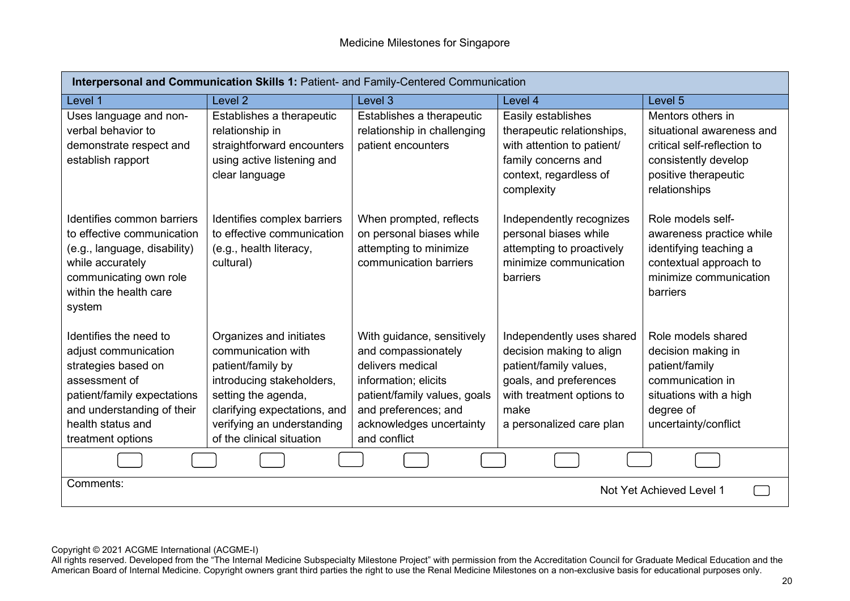| Interpersonal and Communication Skills 1: Patient- and Family-Centered Communication                                                                                                          |                                                                                                                                                                                                                   |                                                                                                                                                                                                   |                                                                                                                                                                            |                                                                                                                                                |  |
|-----------------------------------------------------------------------------------------------------------------------------------------------------------------------------------------------|-------------------------------------------------------------------------------------------------------------------------------------------------------------------------------------------------------------------|---------------------------------------------------------------------------------------------------------------------------------------------------------------------------------------------------|----------------------------------------------------------------------------------------------------------------------------------------------------------------------------|------------------------------------------------------------------------------------------------------------------------------------------------|--|
| Level 1                                                                                                                                                                                       | Level <sub>2</sub>                                                                                                                                                                                                | Level <sub>3</sub>                                                                                                                                                                                | Level 4                                                                                                                                                                    | Level 5                                                                                                                                        |  |
| Uses language and non-<br>verbal behavior to<br>demonstrate respect and<br>establish rapport                                                                                                  | Establishes a therapeutic<br>relationship in<br>straightforward encounters<br>using active listening and<br>clear language                                                                                        | Establishes a therapeutic<br>relationship in challenging<br>patient encounters                                                                                                                    | Easily establishes<br>therapeutic relationships,<br>with attention to patient/<br>family concerns and<br>context, regardless of<br>complexity                              | Mentors others in<br>situational awareness and<br>critical self-reflection to<br>consistently develop<br>positive therapeutic<br>relationships |  |
| Identifies common barriers<br>to effective communication<br>(e.g., language, disability)<br>while accurately<br>communicating own role<br>within the health care<br>system                    | Identifies complex barriers<br>to effective communication<br>(e.g., health literacy,<br>cultural)                                                                                                                 | When prompted, reflects<br>on personal biases while<br>attempting to minimize<br>communication barriers                                                                                           | Independently recognizes<br>personal biases while<br>attempting to proactively<br>minimize communication<br>barriers                                                       | Role models self-<br>awareness practice while<br>identifying teaching a<br>contextual approach to<br>minimize communication<br>barriers        |  |
| Identifies the need to<br>adjust communication<br>strategies based on<br>assessment of<br>patient/family expectations<br>and understanding of their<br>health status and<br>treatment options | Organizes and initiates<br>communication with<br>patient/family by<br>introducing stakeholders,<br>setting the agenda,<br>clarifying expectations, and<br>verifying an understanding<br>of the clinical situation | With guidance, sensitively<br>and compassionately<br>delivers medical<br>information; elicits<br>patient/family values, goals<br>and preferences; and<br>acknowledges uncertainty<br>and conflict | Independently uses shared<br>decision making to align<br>patient/family values,<br>goals, and preferences<br>with treatment options to<br>make<br>a personalized care plan | Role models shared<br>decision making in<br>patient/family<br>communication in<br>situations with a high<br>degree of<br>uncertainty/conflict  |  |
|                                                                                                                                                                                               |                                                                                                                                                                                                                   |                                                                                                                                                                                                   |                                                                                                                                                                            |                                                                                                                                                |  |
| Comments:<br>Not Yet Achieved Level 1                                                                                                                                                         |                                                                                                                                                                                                                   |                                                                                                                                                                                                   |                                                                                                                                                                            |                                                                                                                                                |  |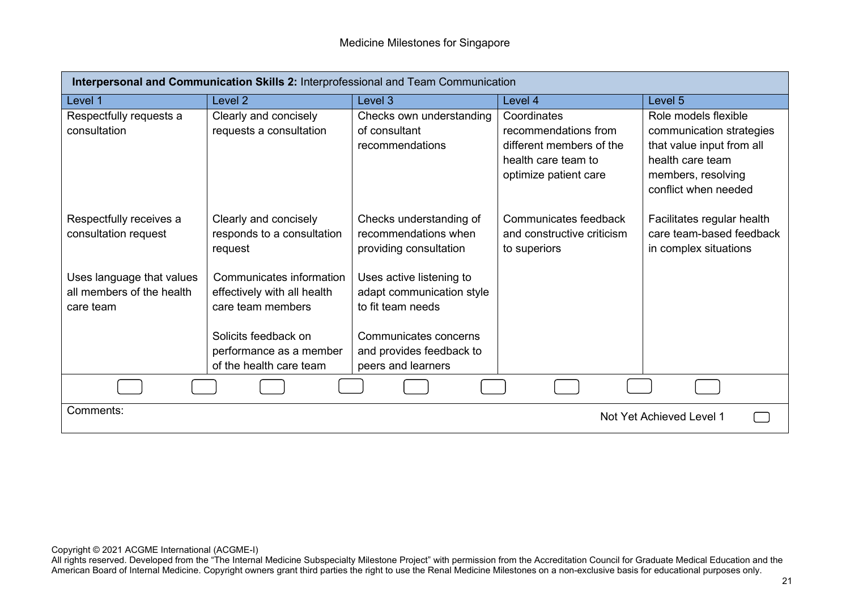| Interpersonal and Communication Skills 2: Interprofessional and Team Communication |                                                                              |                                                                            |                                                                                                                 |                                                                                                                                                 |
|------------------------------------------------------------------------------------|------------------------------------------------------------------------------|----------------------------------------------------------------------------|-----------------------------------------------------------------------------------------------------------------|-------------------------------------------------------------------------------------------------------------------------------------------------|
| Level 1                                                                            | Level 2                                                                      | Level 3                                                                    | Level 4                                                                                                         | Level 5                                                                                                                                         |
| Respectfully requests a<br>consultation                                            | Clearly and concisely<br>requests a consultation                             | Checks own understanding<br>of consultant<br>recommendations               | Coordinates<br>recommendations from<br>different members of the<br>health care team to<br>optimize patient care | Role models flexible<br>communication strategies<br>that value input from all<br>health care team<br>members, resolving<br>conflict when needed |
| Respectfully receives a<br>consultation request                                    | Clearly and concisely<br>responds to a consultation<br>request               | Checks understanding of<br>recommendations when<br>providing consultation  | Communicates feedback<br>and constructive criticism<br>to superiors                                             | Facilitates regular health<br>care team-based feedback<br>in complex situations                                                                 |
| Uses language that values<br>all members of the health<br>care team                | Communicates information<br>effectively with all health<br>care team members | Uses active listening to<br>adapt communication style<br>to fit team needs |                                                                                                                 |                                                                                                                                                 |
|                                                                                    | Solicits feedback on<br>performance as a member<br>of the health care team   | Communicates concerns<br>and provides feedback to<br>peers and learners    |                                                                                                                 |                                                                                                                                                 |
|                                                                                    |                                                                              |                                                                            |                                                                                                                 |                                                                                                                                                 |
| Comments:<br>Not Yet Achieved Level 1                                              |                                                                              |                                                                            |                                                                                                                 |                                                                                                                                                 |